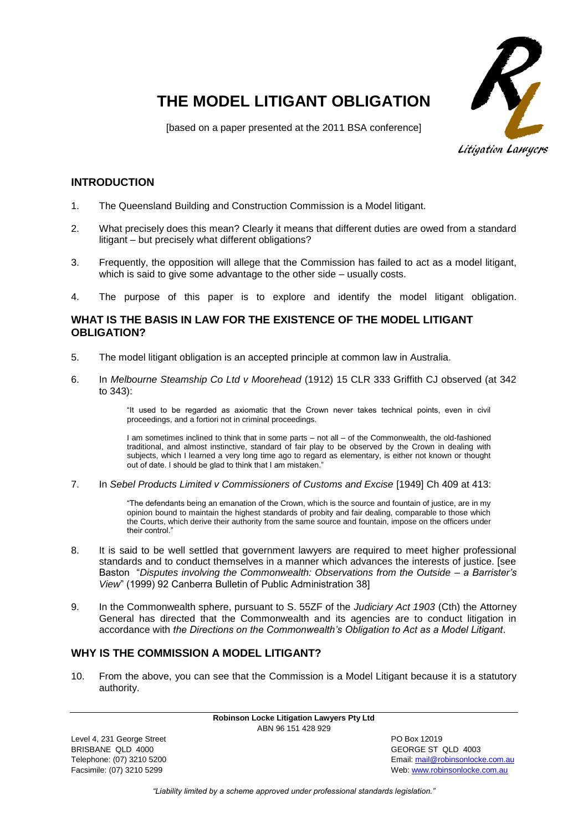

# **THE MODEL LITIGANT OBLIGATION**

[based on a paper presented at the 2011 BSA conference]

Litigation Lawyers

# **INTRODUCTION**

- 1. The Queensland Building and Construction Commission is a Model litigant.
- 2. What precisely does this mean? Clearly it means that different duties are owed from a standard litigant – but precisely what different obligations?
- 3. Frequently, the opposition will allege that the Commission has failed to act as a model litigant, which is said to give some advantage to the other side – usually costs.
- 4. The purpose of this paper is to explore and identify the model litigant obligation.

# **WHAT IS THE BASIS IN LAW FOR THE EXISTENCE OF THE MODEL LITIGANT OBLIGATION?**

- 5. The model litigant obligation is an accepted principle at common law in Australia.
- 6. In *Melbourne Steamship Co Ltd v Moorehead* (1912) 15 CLR 333 Griffith CJ observed (at 342 to 343):

"It used to be regarded as axiomatic that the Crown never takes technical points, even in civil proceedings, and a fortiori not in criminal proceedings.

I am sometimes inclined to think that in some parts – not all – of the Commonwealth, the old-fashioned traditional, and almost instinctive, standard of fair play to be observed by the Crown in dealing with subjects, which I learned a very long time ago to regard as elementary, is either not known or thought out of date. I should be glad to think that I am mistaken."

7. In *Sebel Products Limited v Commissioners of Customs and Excise* [1949] Ch 409 at 413:

"The defendants being an emanation of the Crown, which is the source and fountain of justice, are in my opinion bound to maintain the highest standards of probity and fair dealing, comparable to those which the Courts, which derive their authority from the same source and fountain, impose on the officers under their control."

- 8. It is said to be well settled that government lawyers are required to meet higher professional standards and to conduct themselves in a manner which advances the interests of justice. [see Baston "*Disputes involving the Commonwealth: Observations from the Outside – a Barrister's View*" (1999) 92 Canberra Bulletin of Public Administration 38]
- 9. In the Commonwealth sphere, pursuant to S. 55ZF of the *Judiciary Act 1903* (Cth) the Attorney General has directed that the Commonwealth and its agencies are to conduct litigation in accordance with *the Directions on the Commonwealth's Obligation to Act as a Model Litigant*.

# **WHY IS THE COMMISSION A MODEL LITIGANT?**

10. From the above, you can see that the Commission is a Model Litigant because it is a statutory authority.

> **Robinson Locke Litigation Lawyers Pty Ltd** ABN 96 151 428 929

Level 4, 231 George Street **PO Box 12019** BRISBANE QLD 4000 GEORGE ST QLD 4003

Telephone: (07) 3210 5200 Email[: mail@robinsonlocke.com.au](mailto:mail@robinsonlocke.com.au) Facsimile: (07) 3210 5299 Web: [www.robinsonlocke.com.au](http://www.robinsonlocke.com.au/)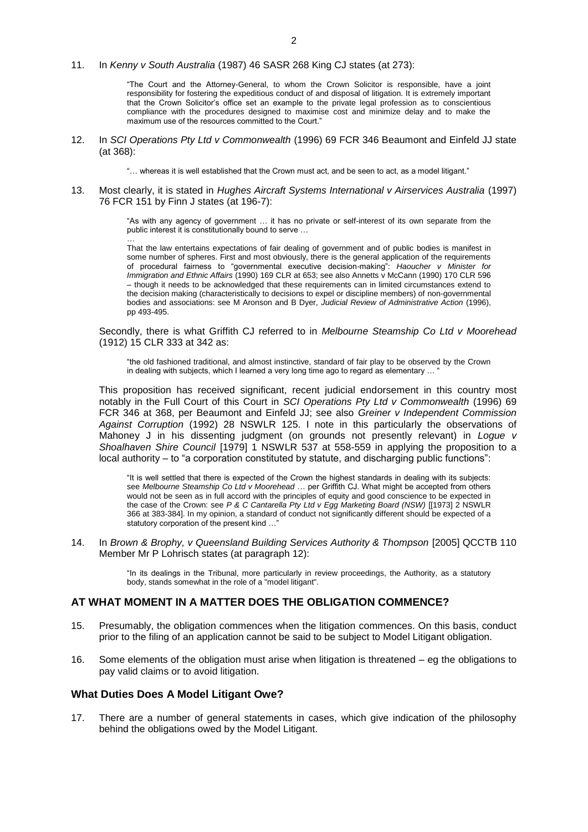#### 11. In *Kenny v South Australia* (1987) 46 SASR 268 King CJ states (at 273):

"The Court and the Attorney-General, to whom the Crown Solicitor is responsible, have a joint responsibility for fostering the expeditious conduct of and disposal of litigation. It is extremely important that the Crown Solicitor's office set an example to the private legal profession as to conscientious compliance with the procedures designed to maximise cost and minimize delay and to make the maximum use of the resources committed to the Court."

12. In *SCI Operations Pty Ltd v Commonwealth* (1996) 69 FCR 346 Beaumont and Einfeld JJ state (at 368):

"… whereas it is well established that the Crown must act, and be seen to act, as a model litigant."

13. Most clearly, it is stated in *Hughes Aircraft Systems International v Airservices Australia* (1997) 76 FCR 151 by Finn J states (at 196-7):

> "As with any agency of government … it has no private or self-interest of its own separate from the public interest it is constitutionally bound to serve …

> … That the law entertains expectations of fair dealing of government and of public bodies is manifest in some number of spheres. First and most obviously, there is the general application of the requirements of procedural fairness to "governmental executive decision-making": *Haoucher v Minister for Immigration and Ethnic Affairs* (1990) 169 CLR at 653; see also Annetts v McCann (1990) 170 CLR 596 – though it needs to be acknowledged that these requirements can in limited circumstances extend to the decision making (characteristically to decisions to expel or discipline members) of non-governmental bodies and associations: see M Aronson and B Dyer, *Judicial Review of Administrative Action* (1996), pp 493-495.

Secondly, there is what Griffith CJ referred to in *Melbourne Steamship Co Ltd v Moorehead*  (1912) 15 CLR 333 at 342 as:

"the old fashioned traditional, and almost instinctive, standard of fair play to be observed by the Crown in dealing with subjects, which I learned a very long time ago to regard as elementary ...

This proposition has received significant, recent judicial endorsement in this country most notably in the Full Court of this Court in *SCI Operations Pty Ltd v Commonwealth* (1996) 69 FCR 346 at 368, per Beaumont and Einfeld JJ; see also *Greiner v Independent Commission Against Corruption* (1992) 28 NSWLR 125. I note in this particularly the observations of Mahoney J in his dissenting judgment (on grounds not presently relevant) in *Logue v Shoalhaven Shire Council* [1979] 1 NSWLR 537 at 558-559 in applying the proposition to a local authority – to "a corporation constituted by statute, and discharging public functions":

"It is well settled that there is expected of the Crown the highest standards in dealing with its subjects: see *Melbourne Steamship Co Ltd v Moorehead* … per Griffith CJ. What might be accepted from others would not be seen as in full accord with the principles of equity and good conscience to be expected in the case of the Crown: see *P & C Cantarella Pty Ltd v Egg Marketing Board (NSW)* [[1973] 2 NSWLR 366 at 383-384]. In my opinion, a standard of conduct not significantly different should be expected of a statutory corporation of the present kind ...

14. In *Brown & Brophy, v Queensland Building Services Authority & Thompson* [2005] QCCTB 110 Member Mr P Lohrisch states (at paragraph 12):

> "In its dealings in the Tribunal, more particularly in review proceedings, the Authority, as a statutory body, stands somewhat in the role of a "model litigant".

#### **AT WHAT MOMENT IN A MATTER DOES THE OBLIGATION COMMENCE?**

- 15. Presumably, the obligation commences when the litigation commences. On this basis, conduct prior to the filing of an application cannot be said to be subject to Model Litigant obligation.
- 16. Some elements of the obligation must arise when litigation is threatened eg the obligations to pay valid claims or to avoid litigation.

#### **What Duties Does A Model Litigant Owe?**

17. There are a number of general statements in cases, which give indication of the philosophy behind the obligations owed by the Model Litigant.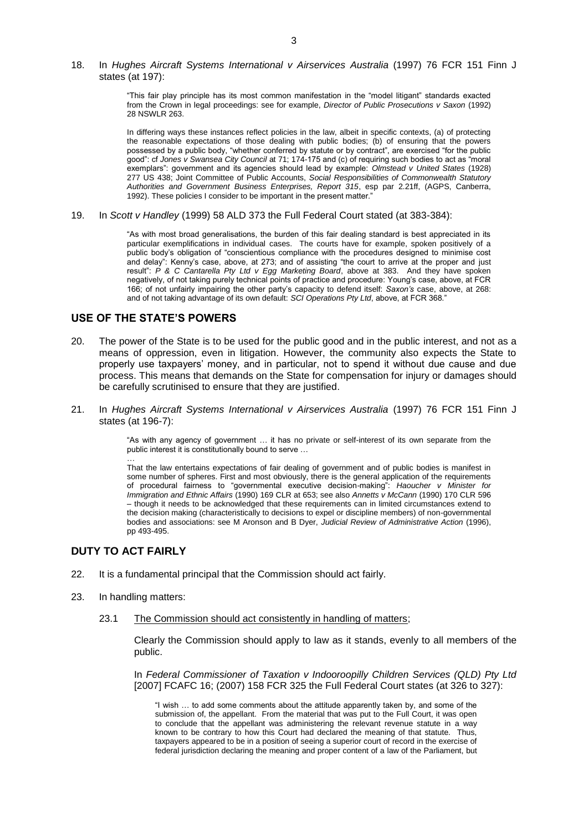18. In *Hughes Aircraft Systems International v Airservices Australia* (1997) 76 FCR 151 Finn J states (at 197):

> "This fair play principle has its most common manifestation in the "model litigant" standards exacted from the Crown in legal proceedings: see for example, *Director of Public Prosecutions v Saxon* (1992) 28 NSWLR 263.

> In differing ways these instances reflect policies in the law, albeit in specific contexts, (a) of protecting the reasonable expectations of those dealing with public bodies; (b) of ensuring that the powers possessed by a public body, "whether conferred by statute or by contract", are exercised "for the public good": cf *Jones v Swansea City Council* at 71; 174-175 and (c) of requiring such bodies to act as "moral exemplars": government and its agencies should lead by example: *Olmstead v United States* (1928) 277 US 438; Joint Committee of Public Accounts, *Social Responsibilities of Commonwealth Statutory Authorities and Government Business Enterprises, Report 315*, esp par 2.21ff, (AGPS, Canberra, 1992). These policies I consider to be important in the present matter."

19. In *Scott v Handley* (1999) 58 ALD 373 the Full Federal Court stated (at 383-384):

"As with most broad generalisations, the burden of this fair dealing standard is best appreciated in its particular exemplifications in individual cases. The courts have for example, spoken positively of a public body's obligation of "conscientious compliance with the procedures designed to minimise cost and delay": Kenny's case, above, at 273; and of assisting "the court to arrive at the proper and just result": *P & C Cantarella Pty Ltd v Egg Marketing Board*, above at 383. And they have spoken negatively, of not taking purely technical points of practice and procedure: Young's case, above, at FCR 166; of not unfairly impairing the other party's capacity to defend itself: *Saxon's* case, above, at 268: and of not taking advantage of its own default: *SCI Operations Pty Ltd*, above, at FCR 368."

## **USE OF THE STATE'S POWERS**

- 20. The power of the State is to be used for the public good and in the public interest, and not as a means of oppression, even in litigation. However, the community also expects the State to properly use taxpayers' money, and in particular, not to spend it without due cause and due process. This means that demands on the State for compensation for injury or damages should be carefully scrutinised to ensure that they are justified.
- 21. In *Hughes Aircraft Systems International v Airservices Australia* (1997) 76 FCR 151 Finn J states (at 196-7):

"As with any agency of government … it has no private or self-interest of its own separate from the public interest it is constitutionally bound to serve ...

That the law entertains expectations of fair dealing of government and of public bodies is manifest in some number of spheres. First and most obviously, there is the general application of the requirements of procedural fairness to "governmental executive decision-making": *Haoucher v Minister for Immigration and Ethnic Affairs* (1990) 169 CLR at 653; see also *Annetts v McCann* (1990) 170 CLR 596 – though it needs to be acknowledged that these requirements can in limited circumstances extend to the decision making (characteristically to decisions to expel or discipline members) of non-governmental bodies and associations: see M Aronson and B Dyer, *Judicial Review of Administrative Action* (1996), pp 493-495.

## **DUTY TO ACT FAIRLY**

…

- 22. It is a fundamental principal that the Commission should act fairly.
- 23. In handling matters:
	- 23.1 The Commission should act consistently in handling of matters;

Clearly the Commission should apply to law as it stands, evenly to all members of the public.

In *Federal Commissioner of Taxation v Indooroopilly Children Services (QLD) Pty Ltd* [2007] FCAFC 16; (2007) 158 FCR 325 the Full Federal Court states (at 326 to 327):

"I wish … to add some comments about the attitude apparently taken by, and some of the submission of, the appellant. From the material that was put to the Full Court, it was open to conclude that the appellant was administering the relevant revenue statute in a way known to be contrary to how this Court had declared the meaning of that statute. Thus, taxpayers appeared to be in a position of seeing a superior court of record in the exercise of federal jurisdiction declaring the meaning and proper content of a law of the Parliament, but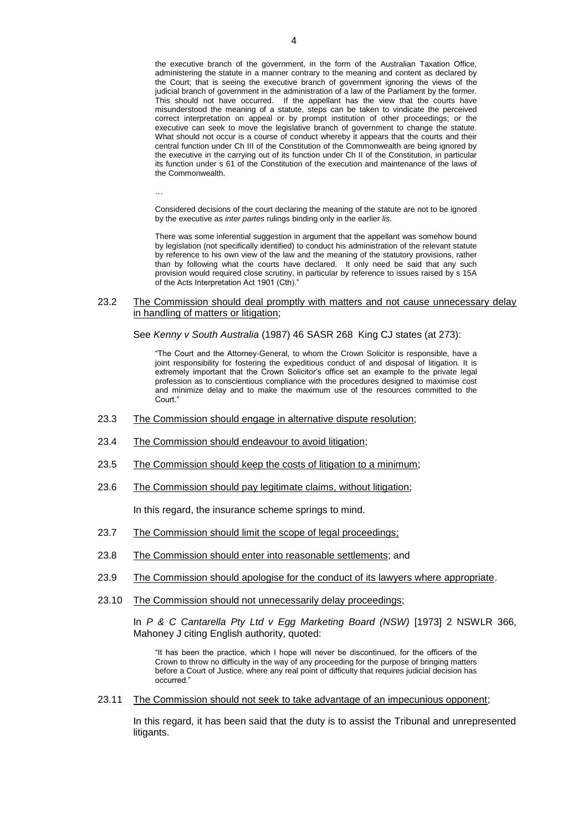the executive branch of the government, in the form of the Australian Taxation Office, administering the statute in a manner contrary to the meaning and content as declared by the Court; that is seeing the executive branch of government ignoring the views of the judicial branch of government in the administration of a law of the Parliament by the former. This should not have occurred. If the appellant has the view that the courts have misunderstood the meaning of a statute, steps can be taken to vindicate the perceived correct interpretation on appeal or by prompt institution of other proceedings; or the executive can seek to move the legislative branch of government to change the statute. What should not occur is a course of conduct whereby it appears that the courts and their central function under Ch III of the Constitution of the Commonwealth are being ignored by the executive in the carrying out of its function under Ch II of the Constitution, in particular its function under s 61 of the Constitution of the execution and maintenance of the laws of the Commonwealth.

…

Considered decisions of the court declaring the meaning of the statute are not to be ignored by the executive as *inter partes* rulings binding only in the earlier *lis*.

There was some inferential suggestion in argument that the appellant was somehow bound by legislation (not specifically identified) to conduct his administration of the relevant statute by reference to his own view of the law and the meaning of the statutory provisions, rather than by following what the courts have declared. It only need be said that any such provision would required close scrutiny, in particular by reference to issues raised by s 15A of the Acts Interpretation Act 1901 (Cth).'

23.2 The Commission should deal promptly with matters and not cause unnecessary delay in handling of matters or litigation;

See *Kenny v South Australia* (1987) 46 SASR 268 King CJ states (at 273):

"The Court and the Attorney-General, to whom the Crown Solicitor is responsible, have a joint responsibility for fostering the expeditious conduct of and disposal of litigation. It is extremely important that the Crown Solicitor's office set an example to the private legal profession as to conscientious compliance with the procedures designed to maximise cost and minimize delay and to make the maximum use of the resources committed to the Court."

- 23.3 The Commission should engage in alternative dispute resolution;
- 23.4 The Commission should endeavour to avoid litigation;
- 23.5 The Commission should keep the costs of litigation to a minimum;
- 23.6 The Commission should pay legitimate claims, without litigation;

In this regard, the insurance scheme springs to mind.

- 23.7 The Commission should limit the scope of legal proceedings;
- 23.8 The Commission should enter into reasonable settlements; and
- 23.9 The Commission should apologise for the conduct of its lawyers where appropriate.
- 23.10 The Commission should not unnecessarily delay proceedings;

In *P & C Cantarella Pty Ltd v Egg Marketing Board (NSW)* [1973] 2 NSWLR 366, Mahoney J citing English authority, quoted:

"It has been the practice, which I hope will never be discontinued, for the officers of the Crown to throw no difficulty in the way of any proceeding for the purpose of bringing matters before a Court of Justice, where any real point of difficulty that requires judicial decision has occurred."

23.11 The Commission should not seek to take advantage of an impecunious opponent;

In this regard, it has been said that the duty is to assist the Tribunal and unrepresented litigants.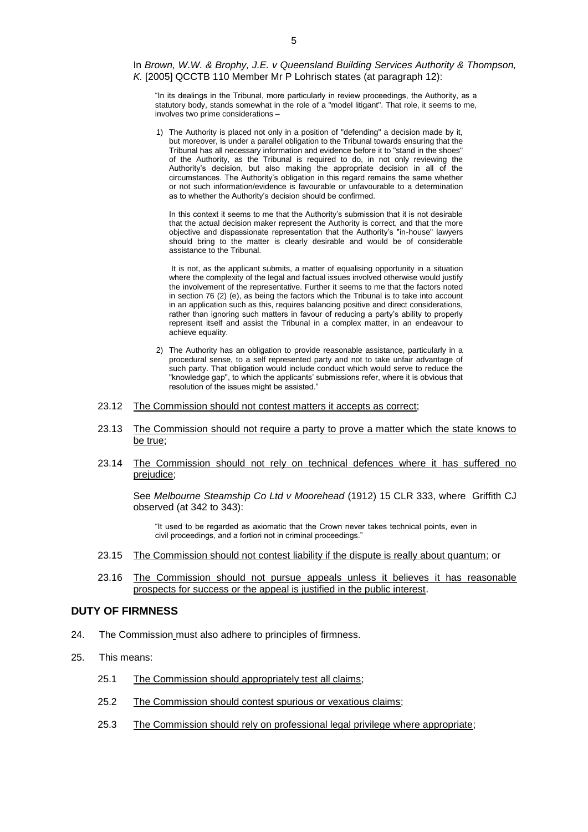In *Brown, W.W. & Brophy, J.E. v Queensland Building Services Authority & Thompson, K.* [2005] QCCTB 110 Member Mr P Lohrisch states (at paragraph 12):

"In its dealings in the Tribunal, more particularly in review proceedings, the Authority, as a statutory body, stands somewhat in the role of a "model litigant". That role, it seems to me, involves two prime considerations –

1) The Authority is placed not only in a position of "defending" a decision made by it, but moreover, is under a parallel obligation to the Tribunal towards ensuring that the Tribunal has all necessary information and evidence before it to "stand in the shoes" of the Authority, as the Tribunal is required to do, in not only reviewing the Authority's decision, but also making the appropriate decision in all of the circumstances. The Authority's obligation in this regard remains the same whether or not such information/evidence is favourable or unfavourable to a determination as to whether the Authority's decision should be confirmed.

In this context it seems to me that the Authority's submission that it is not desirable that the actual decision maker represent the Authority is correct, and that the more objective and dispassionate representation that the Authority's "in-house" lawyers should bring to the matter is clearly desirable and would be of considerable assistance to the Tribunal.

It is not, as the applicant submits, a matter of equalising opportunity in a situation where the complexity of the legal and factual issues involved otherwise would justify the involvement of the representative. Further it seems to me that the factors noted in section 76 (2) (e), as being the factors which the Tribunal is to take into account in an application such as this, requires balancing positive and direct considerations, rather than ignoring such matters in favour of reducing a party's ability to properly represent itself and assist the Tribunal in a complex matter, in an endeavour to achieve equality.

- 2) The Authority has an obligation to provide reasonable assistance, particularly in a procedural sense, to a self represented party and not to take unfair advantage of such party. That obligation would include conduct which would serve to reduce the "knowledge gap", to which the applicants' submissions refer, where it is obvious that resolution of the issues might be assisted."
- 23.12 The Commission should not contest matters it accepts as correct;
- 23.13 The Commission should not require a party to prove a matter which the state knows to be true;
- 23.14 The Commission should not rely on technical defences where it has suffered no prejudice;

See *Melbourne Steamship Co Ltd v Moorehead* (1912) 15 CLR 333, where Griffith CJ observed (at 342 to 343):

"It used to be regarded as axiomatic that the Crown never takes technical points, even in civil proceedings, and a fortiori not in criminal proceedings."

- 23.15 The Commission should not contest liability if the dispute is really about quantum; or
- 23.16 The Commission should not pursue appeals unless it believes it has reasonable prospects for success or the appeal is justified in the public interest.

#### **DUTY OF FIRMNESS**

- 24. The Commission must also adhere to principles of firmness.
- 25. This means:
	- 25.1 The Commission should appropriately test all claims;
	- 25.2 The Commission should contest spurious or vexatious claims;
	- 25.3 The Commission should rely on professional legal privilege where appropriate;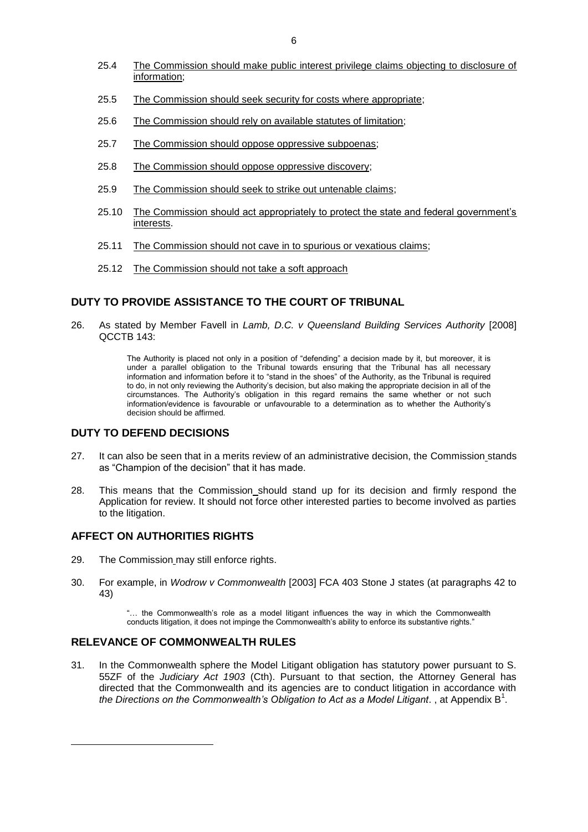- 25.4 The Commission should make public interest privilege claims objecting to disclosure of information;
- 25.5 The Commission should seek security for costs where appropriate;
- 25.6 The Commission should rely on available statutes of limitation;
- 25.7 The Commission should oppose oppressive subpoenas;
- 25.8 The Commission should oppose oppressive discovery;
- 25.9 The Commission should seek to strike out untenable claims;
- 25.10 The Commission should act appropriately to protect the state and federal government's interests.
- 25.11 The Commission should not cave in to spurious or vexatious claims;
- 25.12 The Commission should not take a soft approach

### **DUTY TO PROVIDE ASSISTANCE TO THE COURT OF TRIBUNAL**

26. As stated by Member Favell in *Lamb, D.C. v Queensland Building Services Authority* [2008] QCCTB 143:

> The Authority is placed not only in a position of "defending" a decision made by it, but moreover, it is under a parallel obligation to the Tribunal towards ensuring that the Tribunal has all necessary information and information before it to "stand in the shoes" of the Authority, as the Tribunal is required to do, in not only reviewing the Authority's decision, but also making the appropriate decision in all of the circumstances. The Authority's obligation in this regard remains the same whether or not such information/evidence is favourable or unfavourable to a determination as to whether the Authority's decision should be affirmed.

# **DUTY TO DEFEND DECISIONS**

- 27. It can also be seen that in a merits review of an administrative decision, the Commission stands as "Champion of the decision" that it has made.
- 28. This means that the Commission should stand up for its decision and firmly respond the Application for review. It should not force other interested parties to become involved as parties to the litigation.

# **AFFECT ON AUTHORITIES RIGHTS**

1

- 29. The Commission may still enforce rights.
- 30. For example, in *Wodrow v Commonwealth* [2003] FCA 403 Stone J states (at paragraphs 42 to 43)

"… the Commonwealth's role as a model litigant influences the way in which the Commonwealth conducts litigation, it does not impinge the Commonwealth's ability to enforce its substantive rights."

## **RELEVANCE OF COMMONWEALTH RULES**

31. In the Commonwealth sphere the Model Litigant obligation has statutory power pursuant to S. 55ZF of the *Judiciary Act 1903* (Cth). Pursuant to that section, the Attorney General has directed that the Commonwealth and its agencies are to conduct litigation in accordance with the Directions on the Commonwealth's Obligation to Act as a Model Litigant., at Appendix B<sup>1</sup>.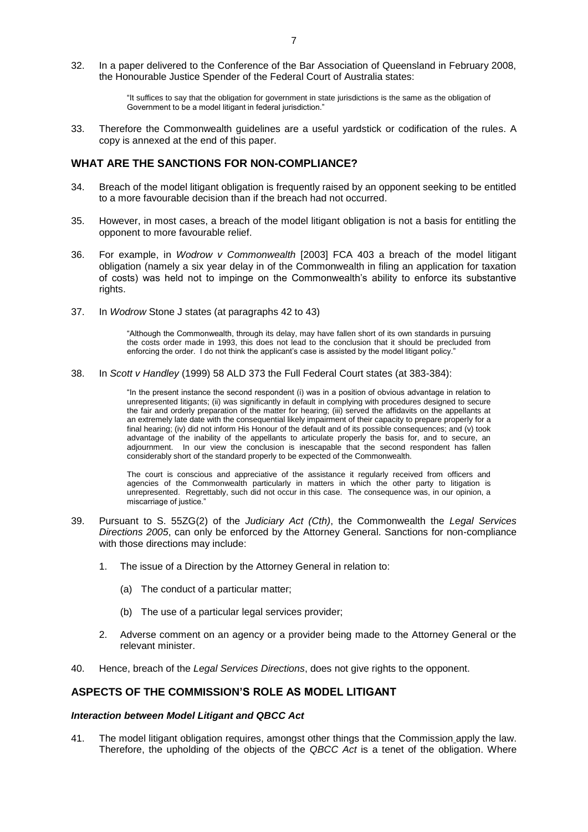32. In a paper delivered to the Conference of the Bar Association of Queensland in February 2008, the Honourable Justice Spender of the Federal Court of Australia states:

> "It suffices to say that the obligation for government in state jurisdictions is the same as the obligation of Government to be a model litigant in federal jurisdiction."

33. Therefore the Commonwealth guidelines are a useful yardstick or codification of the rules. A copy is annexed at the end of this paper.

#### **WHAT ARE THE SANCTIONS FOR NON-COMPLIANCE?**

- 34. Breach of the model litigant obligation is frequently raised by an opponent seeking to be entitled to a more favourable decision than if the breach had not occurred.
- 35. However, in most cases, a breach of the model litigant obligation is not a basis for entitling the opponent to more favourable relief.
- 36. For example, in *Wodrow v Commonwealth* [2003] FCA 403 a breach of the model litigant obligation (namely a six year delay in of the Commonwealth in filing an application for taxation of costs) was held not to impinge on the Commonwealth's ability to enforce its substantive rights.
- 37. In *Wodrow* Stone J states (at paragraphs 42 to 43)

"Although the Commonwealth, through its delay, may have fallen short of its own standards in pursuing the costs order made in 1993, this does not lead to the conclusion that it should be precluded from enforcing the order. I do not think the applicant's case is assisted by the model litigant policy."

38. In *Scott v Handley* (1999) 58 ALD 373 the Full Federal Court states (at 383-384):

"In the present instance the second respondent (i) was in a position of obvious advantage in relation to unrepresented litigants; (ii) was significantly in default in complying with procedures designed to secure the fair and orderly preparation of the matter for hearing; (iii) served the affidavits on the appellants at an extremely late date with the consequential likely impairment of their capacity to prepare properly for a final hearing; (iv) did not inform His Honour of the default and of its possible consequences; and (v) took advantage of the inability of the appellants to articulate properly the basis for, and to secure, an adjournment. In our view the conclusion is inescapable that the second respondent has fallen considerably short of the standard properly to be expected of the Commonwealth.

The court is conscious and appreciative of the assistance it regularly received from officers and agencies of the Commonwealth particularly in matters in which the other party to litigation is unrepresented. Regrettably, such did not occur in this case. The consequence was, in our opinion, a miscarriage of justice."

- 39. Pursuant to S. 55ZG(2) of the *Judiciary Act (Cth)*, the Commonwealth the *Legal Services Directions 2005*, can only be enforced by the Attorney General. Sanctions for non-compliance with those directions may include:
	- 1. The issue of a Direction by the Attorney General in relation to:
		- (a) The conduct of a particular matter;
		- (b) The use of a particular legal services provider;
	- 2. Adverse comment on an agency or a provider being made to the Attorney General or the relevant minister.
- 40. Hence, breach of the *Legal Services Directions*, does not give rights to the opponent.

## **ASPECTS OF THE COMMISSION'S ROLE AS MODEL LITIGANT**

#### *Interaction between Model Litigant and QBCC Act*

41. The model litigant obligation requires, amongst other things that the Commission apply the law. Therefore, the upholding of the objects of the *QBCC Act* is a tenet of the obligation. Where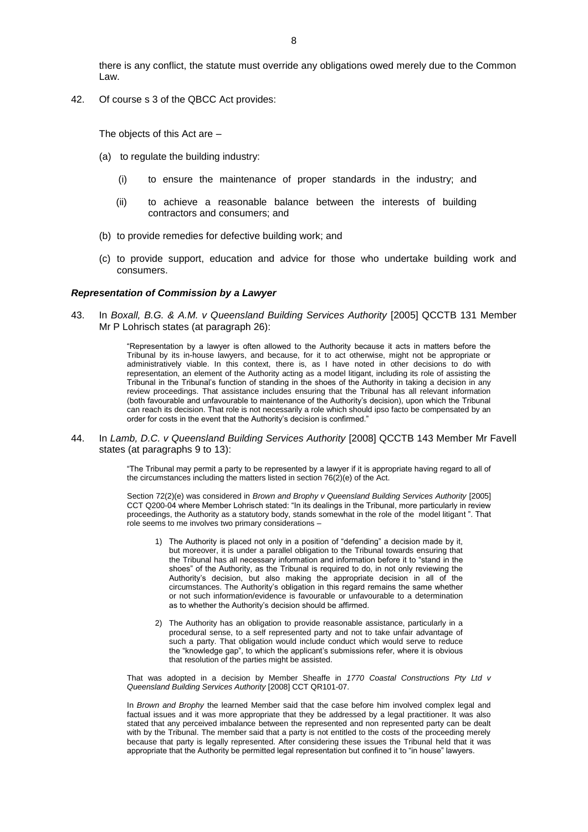there is any conflict, the statute must override any obligations owed merely due to the Common Law.

42. Of course s 3 of the QBCC Act provides:

The objects of this Act are –

- (a) to regulate the building industry:
	- (i) to ensure the maintenance of proper standards in the industry; and
	- (ii) to achieve a reasonable balance between the interests of building contractors and consumers; and
- (b) to provide remedies for defective building work; and
- (c) to provide support, education and advice for those who undertake building work and consumers.

#### *Representation of Commission by a Lawyer*

43. In *Boxall, B.G. & A.M. v Queensland Building Services Authority* [2005] QCCTB 131 Member Mr P Lohrisch states (at paragraph 26):

> "Representation by a lawyer is often allowed to the Authority because it acts in matters before the Tribunal by its in-house lawyers, and because, for it to act otherwise, might not be appropriate or administratively viable. In this context, there is, as I have noted in other decisions to do with representation, an element of the Authority acting as a model litigant, including its role of assisting the Tribunal in the Tribunal's function of standing in the shoes of the Authority in taking a decision in any review proceedings. That assistance includes ensuring that the Tribunal has all relevant information (both favourable and unfavourable to maintenance of the Authority's decision), upon which the Tribunal can reach its decision. That role is not necessarily a role which should ipso facto be compensated by an order for costs in the event that the Authority's decision is confirmed."

44. In *Lamb, D.C. v Queensland Building Services Authority* [2008] QCCTB 143 Member Mr Favell states (at paragraphs 9 to 13):

> "The Tribunal may permit a party to be represented by a lawyer if it is appropriate having regard to all of the circumstances including the matters listed in section 76(2)(e) of the Act.

> Section 72(2)(e) was considered in *Brown and Brophy v Queensland Building Services Authority* [2005] CCT Q200-04 where Member Lohrisch stated: "In its dealings in the Tribunal, more particularly in review proceedings, the Authority as a statutory body, stands somewhat in the role of the model litigant ". That role seems to me involves two primary considerations –

- 1) The Authority is placed not only in a position of "defending" a decision made bv it. but moreover, it is under a parallel obligation to the Tribunal towards ensuring that the Tribunal has all necessary information and information before it to "stand in the shoes" of the Authority, as the Tribunal is required to do, in not only reviewing the Authority's decision, but also making the appropriate decision in all of the circumstances. The Authority's obligation in this regard remains the same whether or not such information/evidence is favourable or unfavourable to a determination as to whether the Authority's decision should be affirmed.
- 2) The Authority has an obligation to provide reasonable assistance, particularly in a procedural sense, to a self represented party and not to take unfair advantage of such a party. That obligation would include conduct which would serve to reduce the "knowledge gap", to which the applicant's submissions refer, where it is obvious that resolution of the parties might be assisted.

That was adopted in a decision by Member Sheaffe in *1770 Coastal Constructions Pty Ltd v Queensland Building Services Authority* [2008] CCT QR101-07.

In *Brown and Brophy* the learned Member said that the case before him involved complex legal and factual issues and it was more appropriate that they be addressed by a legal practitioner. It was also stated that any perceived imbalance between the represented and non represented party can be dealt with by the Tribunal. The member said that a party is not entitled to the costs of the proceeding merely because that party is legally represented. After considering these issues the Tribunal held that it was appropriate that the Authority be permitted legal representation but confined it to "in house" lawyers.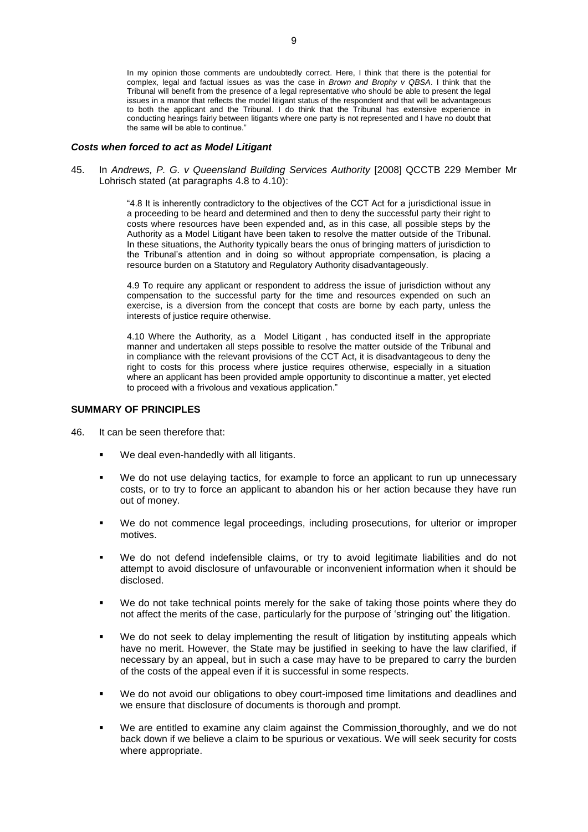In my opinion those comments are undoubtedly correct. Here, I think that there is the potential for complex, legal and factual issues as was the case in *Brown and Brophy v QBSA*. I think that the Tribunal will benefit from the presence of a legal representative who should be able to present the legal issues in a manor that reflects the model litigant status of the respondent and that will be advantageous to both the applicant and the Tribunal. I do think that the Tribunal has extensive experience in conducting hearings fairly between litigants where one party is not represented and I have no doubt that the same will be able to continue."

#### *Costs when forced to act as Model Litigant*

45. In *Andrews, P. G. v Queensland Building Services Authority* [2008] QCCTB 229 Member Mr Lohrisch stated (at paragraphs 4.8 to 4.10):

> "4.8 It is inherently contradictory to the objectives of the CCT Act for a jurisdictional issue in a proceeding to be heard and determined and then to deny the successful party their right to costs where resources have been expended and, as in this case, all possible steps by the Authority as a Model Litigant have been taken to resolve the matter outside of the Tribunal. In these situations, the Authority typically bears the onus of bringing matters of jurisdiction to the Tribunal's attention and in doing so without appropriate compensation, is placing a resource burden on a Statutory and Regulatory Authority disadvantageously.

> 4.9 To require any applicant or respondent to address the issue of jurisdiction without any compensation to the successful party for the time and resources expended on such an exercise, is a diversion from the concept that costs are borne by each party, unless the interests of justice require otherwise.

> 4.10 Where the Authority, as a Model Litigant , has conducted itself in the appropriate manner and undertaken all steps possible to resolve the matter outside of the Tribunal and in compliance with the relevant provisions of the CCT Act, it is disadvantageous to deny the right to costs for this process where justice requires otherwise, especially in a situation where an applicant has been provided ample opportunity to discontinue a matter, yet elected to proceed with a frivolous and vexatious application."

#### **SUMMARY OF PRINCIPLES**

- 46. It can be seen therefore that:
	- We deal even-handedly with all litigants.
	- We do not use delaying tactics, for example to force an applicant to run up unnecessary costs, or to try to force an applicant to abandon his or her action because they have run out of money.
	- We do not commence legal proceedings, including prosecutions, for ulterior or improper motives.
	- We do not defend indefensible claims, or try to avoid legitimate liabilities and do not attempt to avoid disclosure of unfavourable or inconvenient information when it should be disclosed.
	- We do not take technical points merely for the sake of taking those points where they do not affect the merits of the case, particularly for the purpose of 'stringing out' the litigation.
	- We do not seek to delay implementing the result of litigation by instituting appeals which have no merit. However, the State may be justified in seeking to have the law clarified, if necessary by an appeal, but in such a case may have to be prepared to carry the burden of the costs of the appeal even if it is successful in some respects.
	- We do not avoid our obligations to obey court-imposed time limitations and deadlines and we ensure that disclosure of documents is thorough and prompt.
	- We are entitled to examine any claim against the Commission thoroughly, and we do not back down if we believe a claim to be spurious or vexatious. We will seek security for costs where appropriate.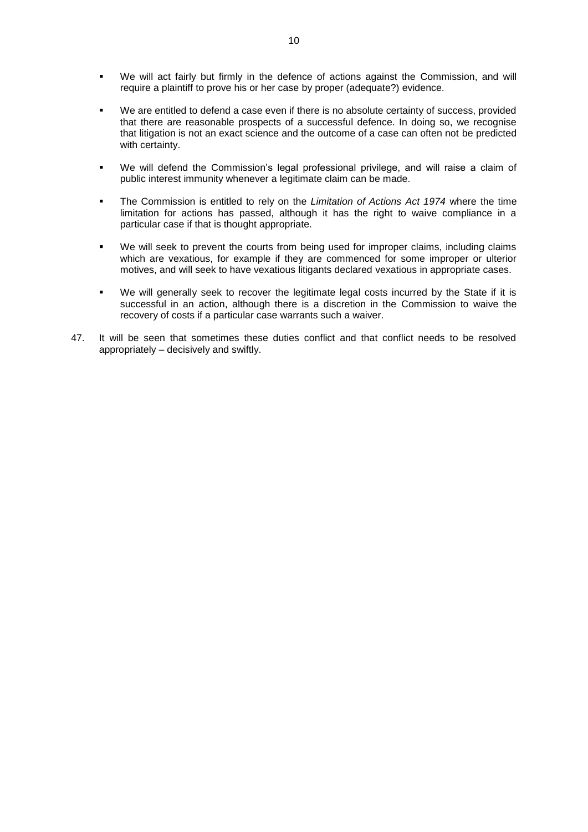- We will act fairly but firmly in the defence of actions against the Commission, and will require a plaintiff to prove his or her case by proper (adequate?) evidence.
- We are entitled to defend a case even if there is no absolute certainty of success, provided that there are reasonable prospects of a successful defence. In doing so, we recognise that litigation is not an exact science and the outcome of a case can often not be predicted with certainty.
- We will defend the Commission's legal professional privilege, and will raise a claim of public interest immunity whenever a legitimate claim can be made.
- The Commission is entitled to rely on the *Limitation of Actions Act 1974* where the time limitation for actions has passed, although it has the right to waive compliance in a particular case if that is thought appropriate.
- We will seek to prevent the courts from being used for improper claims, including claims which are vexatious, for example if they are commenced for some improper or ulterior motives, and will seek to have vexatious litigants declared vexatious in appropriate cases.
- We will generally seek to recover the legitimate legal costs incurred by the State if it is successful in an action, although there is a discretion in the Commission to waive the recovery of costs if a particular case warrants such a waiver.
- 47. It will be seen that sometimes these duties conflict and that conflict needs to be resolved appropriately – decisively and swiftly.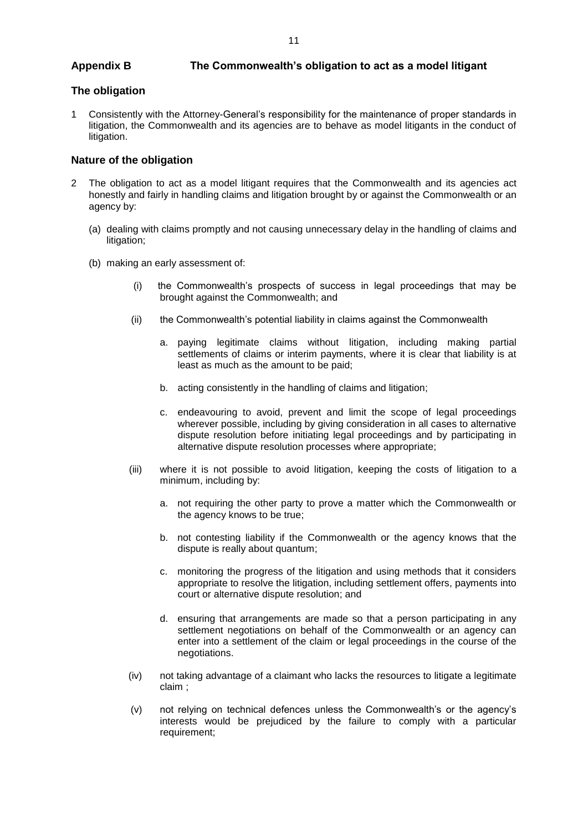## **Appendix B The Commonwealth's obligation to act as a model litigant**

## **The obligation**

1 Consistently with the Attorney-General's responsibility for the maintenance of proper standards in litigation, the Commonwealth and its agencies are to behave as model litigants in the conduct of litigation.

## **Nature of the obligation**

- 2 The obligation to act as a model litigant requires that the Commonwealth and its agencies act honestly and fairly in handling claims and litigation brought by or against the Commonwealth or an agency by:
	- (a) dealing with claims promptly and not causing unnecessary delay in the handling of claims and litigation;
	- (b) making an early assessment of:
		- (i) the Commonwealth's prospects of success in legal proceedings that may be brought against the Commonwealth; and
		- (ii) the Commonwealth's potential liability in claims against the Commonwealth
			- a. paying legitimate claims without litigation, including making partial settlements of claims or interim payments, where it is clear that liability is at least as much as the amount to be paid;
			- b. acting consistently in the handling of claims and litigation;
			- c. endeavouring to avoid, prevent and limit the scope of legal proceedings wherever possible, including by giving consideration in all cases to alternative dispute resolution before initiating legal proceedings and by participating in alternative dispute resolution processes where appropriate;
		- (iii) where it is not possible to avoid litigation, keeping the costs of litigation to a minimum, including by:
			- a. not requiring the other party to prove a matter which the Commonwealth or the agency knows to be true;
			- b. not contesting liability if the Commonwealth or the agency knows that the dispute is really about quantum;
			- c. monitoring the progress of the litigation and using methods that it considers appropriate to resolve the litigation, including settlement offers, payments into court or alternative dispute resolution; and
			- d. ensuring that arrangements are made so that a person participating in any settlement negotiations on behalf of the Commonwealth or an agency can enter into a settlement of the claim or legal proceedings in the course of the negotiations.
		- (iv) not taking advantage of a claimant who lacks the resources to litigate a legitimate claim ;
		- (v) not relying on technical defences unless the Commonwealth's or the agency's interests would be prejudiced by the failure to comply with a particular requirement;